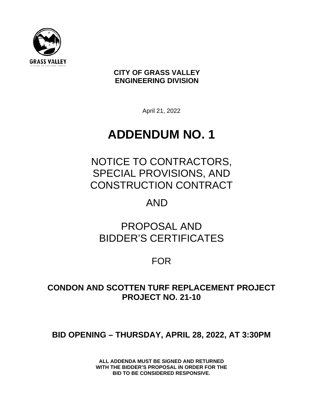

**CITY OF GRASS VALLEY ENGINEERING DIVISION**

April 21, 2022

# **ADDENDUM NO. 1**

NOTICE TO CONTRACTORS, SPECIAL PROVISIONS, AND CONSTRUCTION CONTRACT

## AND

# PROPOSAL AND BIDDER'S CERTIFICATES

FOR

### **CONDON AND SCOTTEN TURF REPLACEMENT PROJECT PROJECT NO. 21-10**

## **BID OPENING – THURSDAY, APRIL 28, 2022, AT 3:30PM**

**ALL ADDENDA MUST BE SIGNED AND RETURNED WITH THE BIDDER'S PROPOSAL IN ORDER FOR THE BID TO BE CONSIDERED RESPONSIVE.**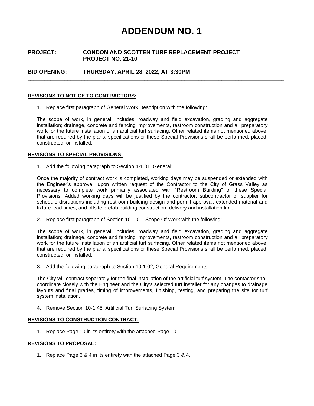## **ADDENDUM NO. 1**

#### **PROJECT: CONDON AND SCOTTEN TURF REPLACEMENT PROJECT PROJECT NO. 21-10**

**BID OPENING: THURSDAY, APRIL 28, 2022, AT 3:30PM**

#### **REVISIONS TO NOTICE TO CONTRACTORS:**

1. Replace first paragraph of General Work Description with the following:

The scope of work, in general, includes; roadway and field excavation, grading and aggregate installation; drainage, concrete and fencing improvements, restroom construction and all preparatory work for the future installation of an artificial turf surfacing. Other related items not mentioned above, that are required by the plans, specifications or these Special Provisions shall be performed, placed, constructed, or installed.

\_\_\_\_\_\_\_\_\_\_\_\_\_\_\_\_\_\_\_\_\_\_\_\_\_\_\_\_\_\_\_\_\_\_\_\_\_\_\_\_\_\_\_\_\_\_\_\_\_\_\_\_\_\_\_\_\_\_\_\_\_\_\_\_\_\_\_\_\_\_\_\_\_\_\_\_\_\_\_\_\_\_\_\_\_\_\_\_\_\_

#### **REVISIONS TO SPECIAL PROVISIONS:**

1. Add the following paragraph to Section 4-1.01, General:

Once the majority of contract work is completed, working days may be suspended or extended with the Engineer's approval, upon written request of the Contractor to the City of Grass Valley as necessary to complete work primarily associated with "Restroom Building" of these Special Provisions. Added working days will be justified by the contractor, subcontractor or supplier for schedule disruptions including restroom building design and permit approval, extended material and fixture lead times, and offsite prefab building construction, delivery and installation time.

2. Replace first paragraph of Section 10-1.01, Scope Of Work with the following:

The scope of work, in general, includes; roadway and field excavation, grading and aggregate installation; drainage, concrete and fencing improvements, restroom construction and all preparatory work for the future installation of an artificial turf surfacing. Other related items not mentioned above, that are required by the plans, specifications or these Special Provisions shall be performed, placed, constructed, or installed.

3. Add the following paragraph to Section 10-1.02, General Requirements:

The City will contract separately for the final installation of the artificial turf system. The contactor shall coordinate closely with the Engineer and the City's selected turf installer for any changes to drainage layouts and final grades, timing of improvements, finishing, testing, and preparing the site for turf system installation.

4. Remove Section 10-1.45, Artificial Turf Surfacing System.

#### **REVISIONS TO CONSTRUCTION CONTRACT:**

1. Replace Page 10 in its entirety with the attached Page 10.

#### **REVISIONS TO PROPOSAL:**

1. Replace Page 3 & 4 in its entirety with the attached Page 3 & 4.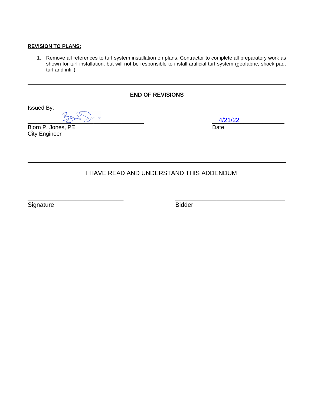#### **REVISION TO PLANS:**

1. Remove all references to turf system installation on plans. Contractor to complete all preparatory work as shown for turf installation, but will not be responsible to install artificial turf system (geofabric, shock pad, turf and infill)

#### **END OF REVISIONS**

Issued By:

 $\frac{4/21/22}{4/21/22}$ 

Bjorn P. Jones, PE Date City Engineer

4/21/22

### I HAVE READ AND UNDERSTAND THIS ADDENDUM

Signature **Bidder** 

 $\overline{a}$  , and the contract of the contract of the contract of the contract of the contract of the contract of the contract of the contract of the contract of the contract of the contract of the contract of the contract o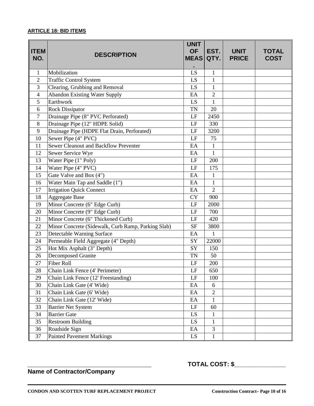#### **ARTICLE 18: BID ITEMS**

| <b>ITEM</b><br>NO. | <b>DESCRIPTION</b>                                 | <b>UNIT</b><br><b>OF</b><br><b>MEAS QTY.</b> | EST.           | <b>UNIT</b><br><b>PRICE</b> | <b>TOTAL</b><br><b>COST</b> |
|--------------------|----------------------------------------------------|----------------------------------------------|----------------|-----------------------------|-----------------------------|
| $\mathbf{1}$       | Mobilization                                       | LS                                           | $\mathbf{1}$   |                             |                             |
| $\overline{2}$     | <b>Traffic Control System</b>                      | LS                                           | $\mathbf{1}$   |                             |                             |
| 3                  | Clearing, Grubbing and Removal                     | LS                                           | $\mathbf{1}$   |                             |                             |
| $\overline{4}$     | <b>Abandon Existing Water Supply</b>               | EA                                           | $\overline{2}$ |                             |                             |
| 5                  | Earthwork                                          | LS                                           | $\mathbf{1}$   |                             |                             |
| 6                  | <b>Rock Dissipator</b>                             | <b>TN</b>                                    | 20             |                             |                             |
| $\tau$             | Drainage Pipe (8" PVC Perforated)                  | LF                                           | 2450           |                             |                             |
| 8                  | Drainage Pipe (12" HDPE Solid)                     | LF                                           | 330            |                             |                             |
| 9                  | Drainage Pipe (HDPE Flat Drain, Perforated)        | LF                                           | 3200           |                             |                             |
| 10                 | Sewer Pipe (4" PVC)                                | LF                                           | 75             |                             |                             |
| 11                 | <b>Sewer Cleanout and Backflow Preventer</b>       | EA                                           | $\mathbf{1}$   |                             |                             |
| 12                 | Sewer Service Wye                                  | EA                                           | $\mathbf{1}$   |                             |                             |
| 13                 | Water Pipe (1" Poly)                               | LF                                           | 200            |                             |                             |
| 14                 | Water Pipe (4" PVC)                                | LF                                           | 175            |                             |                             |
| 15                 | Gate Valve and Box (4")                            | EA                                           | $\mathbf{1}$   |                             |                             |
| 16                 | Water Main Tap and Saddle (1")                     | EA                                           | $\mathbf{1}$   |                             |                             |
| 17                 | <b>Irrigation Quick Connect</b>                    | EA                                           | $\overline{2}$ |                             |                             |
| 18                 | <b>Aggregate Base</b>                              | <b>CY</b>                                    | 900            |                             |                             |
| 19                 | Minor Concrete (6" Edge Curb)                      | LF                                           | 2000           |                             |                             |
| 20                 | Minor Concrete (9" Edge Curb)                      | LF                                           | 700            |                             |                             |
| 21                 | Minor Concrete (6" Thickened Curb)                 | LF                                           | 420            |                             |                             |
| 22                 | Minor Concrete (Sidewalk, Curb Ramp, Parking Slab) | <b>SF</b>                                    | 3800           |                             |                             |
| 23                 | Detectable Warning Surface                         | EA                                           | $\mathbf{1}$   |                             |                             |
| 24                 | Permeable Field Aggregate (4" Depth)               | SY                                           | 22000          |                             |                             |
| 25                 | Hot Mix Asphalt (3" Depth)                         | SY                                           | 150            |                             |                             |
| 26                 | Decomposed Granite                                 | <b>TN</b>                                    | 50             |                             |                             |
| 27                 | <b>Fiber Roll</b>                                  | LF                                           | 200            |                             |                             |
| 28                 | Chain Link Fence (4' Perimeter)                    | LF                                           | 650            |                             |                             |
| 29                 | Chain Link Fence (12' Freestanding)                | LF                                           | 100            |                             |                             |
| 30                 | Chain Link Gate (4' Wide)                          | EA                                           | 6              |                             |                             |
| 31                 | Chain Link Gate (6' Wide)                          | EA                                           | $\overline{2}$ |                             |                             |
| 32                 | Chain Link Gate (12' Wide)                         | EA                                           | $\mathbf{1}$   |                             |                             |
| 33                 | <b>Barrier Net System</b>                          | LF                                           | 60             |                             |                             |
| 34                 | <b>Barrier Gate</b>                                | LS                                           | 1              |                             |                             |
| 35                 | <b>Restroom Building</b>                           | LS                                           | $\mathbf{1}$   |                             |                             |
| 36                 | Roadside Sign                                      | EA                                           | 3              |                             |                             |
| 37                 | <b>Painted Pavement Markings</b>                   | LS                                           | $\mathbf{1}$   |                             |                             |

**Name of Contractor/Company**

**\_\_\_\_\_\_\_\_\_\_\_\_\_\_\_\_\_\_\_\_\_\_\_\_\_\_\_\_\_\_\_ TOTAL COST: \$\_\_\_\_\_\_\_\_\_\_\_\_\_\_\_**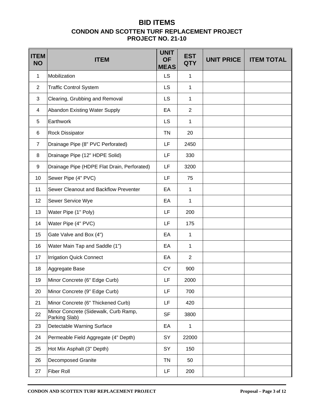### **BID ITEMS CONDON AND SCOTTEN TURF REPLACEMENT PROJECT PROJECT NO. 21-10**

| <b>ITEM</b><br><b>NO</b> | <b>ITEM</b>                                           | <b>UNIT</b><br><b>OF</b><br><b>MEAS</b> | <b>EST</b><br><b>QTY</b> | <b>UNIT PRICE</b> | <b>ITEM TOTAL</b> |
|--------------------------|-------------------------------------------------------|-----------------------------------------|--------------------------|-------------------|-------------------|
| $\mathbf{1}$             | Mobilization                                          | <b>LS</b>                               | $\mathbf{1}$             |                   |                   |
| $\overline{2}$           | <b>Traffic Control System</b>                         | <b>LS</b>                               | 1                        |                   |                   |
| 3                        | Clearing, Grubbing and Removal                        | <b>LS</b>                               | $\mathbf{1}$             |                   |                   |
| 4                        | Abandon Existing Water Supply                         | EA                                      | $\overline{2}$           |                   |                   |
| 5                        | Earthwork                                             | <b>LS</b>                               | 1                        |                   |                   |
| 6                        | <b>Rock Dissipator</b>                                | <b>TN</b>                               | 20                       |                   |                   |
| 7                        | Drainage Pipe (8" PVC Perforated)                     | LF                                      | 2450                     |                   |                   |
| 8                        | Drainage Pipe (12" HDPE Solid)                        | LF                                      | 330                      |                   |                   |
| 9                        | Drainage Pipe (HDPE Flat Drain, Perforated)           | LF                                      | 3200                     |                   |                   |
| 10                       | Sewer Pipe (4" PVC)                                   | LF                                      | 75                       |                   |                   |
| 11                       | Sewer Cleanout and Backflow Preventer                 | EA                                      | $\mathbf{1}$             |                   |                   |
| 12                       | Sewer Service Wye                                     | EA                                      | $\mathbf{1}$             |                   |                   |
| 13                       | Water Pipe (1" Poly)                                  | LF                                      | 200                      |                   |                   |
| 14                       | Water Pipe (4" PVC)                                   | LF                                      | 175                      |                   |                   |
| 15                       | Gate Valve and Box (4")                               | EA                                      | 1                        |                   |                   |
| 16                       | Water Main Tap and Saddle (1")                        | EA                                      | 1                        |                   |                   |
| 17                       | <b>Irrigation Quick Connect</b>                       | EA                                      | $\overline{2}$           |                   |                   |
| 18                       | Aggregate Base                                        | <b>CY</b>                               | 900                      |                   |                   |
| 19                       | Minor Concrete (6" Edge Curb)                         | LF                                      | 2000                     |                   |                   |
| 20                       | Minor Concrete (9" Edge Curb)                         | LF                                      | 700                      |                   |                   |
| 21                       | Minor Concrete (6" Thickened Curb)                    | LF                                      | 420                      |                   |                   |
| 22                       | Minor Concrete (Sidewalk, Curb Ramp,<br>Parking Slab) | <b>SF</b>                               | 3800                     |                   |                   |
| 23                       | Detectable Warning Surface                            | EA                                      | $\mathbf 1$              |                   |                   |
| 24                       | Permeable Field Aggregate (4" Depth)                  | SY                                      | 22000                    |                   |                   |
| 25                       | Hot Mix Asphalt (3" Depth)                            | SY                                      | 150                      |                   |                   |
| 26                       | <b>Decomposed Granite</b>                             | TN                                      | 50                       |                   |                   |
| 27                       | <b>Fiber Roll</b>                                     | LF.                                     | 200                      |                   |                   |